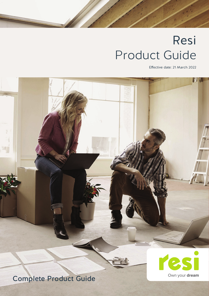# Resi Product Guide

Effective date: 21 March 2022





## Complete Product Guide Own your dream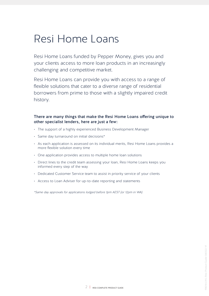## Resi Home Loans

Resi Home Loans funded by Pepper Money, gives you and your clients access to more loan products in an increasingly challenging and competitive market.

Resi Home Loans can provide you with access to a range of flexible solutions that cater to a diverse range of residential borrowers from prime to those with a slightly impaired credit history.

### There are many things that make the Resi Home Loans offering unique to other specialist lenders, here are just a few:

- The support of a highly experienced Business Development Manager
- Same day turnaround on initial decisions\*
- As each application is assessed on its individual merits, Resi Home Loans provides a more flexible solution every time
- One application provides access to multiple home loan solutions
- Direct lines to the credit team assessing your loan, Resi Home Loans keeps you informed every step of the way
- Dedicated Customer Service team to assist in priority service of your clients
- Access to Loan Adviser for up-to-date reporting and statements

\*Same day approvals for applications lodged before 1pm AEST (or 12pm in WA).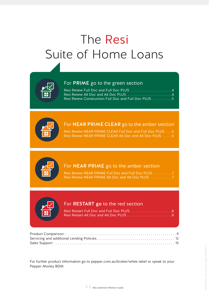# The Resi Suite of Home Loans

| ۰ |  |
|---|--|
|   |  |

### For PRIME go to the green section

| Resi Renew Full Doc and Full Doc PLUS 4              |  |
|------------------------------------------------------|--|
|                                                      |  |
| Resi Renew Construction Full Doc and Full Doc PLUS 5 |  |



## For NEAR PRIME CLEAR go to the amber section

Resi Renew NEAR PRIME CLEAR Full Doc and Full Doc PLUS . . . 6 Resi Renew NEAR PRIME CLEAR Alt Doc and Alt Doc PLUS . . . . 6



## For NEAR PRIME go to the amber section

Resi Renew NEAR PRIME Full Doc and Full Doc PLUS . . . . . . . . . 7 Resi Renew NEAR PRIME Alt Doc and Alt Doc PLUS . . . . . . . . . . 7



### For RESTART go to the red section

For further product information go to pepper.com.au/broker/white-label or speak to your Pepper Money BDM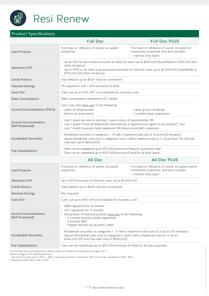

## Product Specifications

|                                         | <b>Full Doc</b>                                                                                                                                                                                                                                                      | <b>Full Doc PLUS</b>                                                                                                 |  |  |  |  |
|-----------------------------------------|----------------------------------------------------------------------------------------------------------------------------------------------------------------------------------------------------------------------------------------------------------------------|----------------------------------------------------------------------------------------------------------------------|--|--|--|--|
| Loan Purpose                            | Purchase or refinance of owner occupied<br>properties                                                                                                                                                                                                                | Purchase or refinance of owner occupied or<br>investment properties and also includes:<br>• Interest Only Ioans      |  |  |  |  |
| Maximum LVR                             | • Up to 95% for purchases (inclusive of fees) for loans up to \$900,000 (Syd/Melb) or \$750,000 (All<br>other locations)<br>• Up to 90% for all other loan purposes (inclusive of fees) for loans up to \$1,000,000 (Syd/Melb) or<br>\$750,000 (All other locations) |                                                                                                                      |  |  |  |  |
| Credit History                          | Paid defaults up to \$500 may be considered                                                                                                                                                                                                                          |                                                                                                                      |  |  |  |  |
| <b>Genuine Savings</b>                  | 5% required if LVR > 90% (inclusive of fees)                                                                                                                                                                                                                         |                                                                                                                      |  |  |  |  |
| Cash Out                                | Cash out up to 90% LVR^ (not available for business use)                                                                                                                                                                                                             |                                                                                                                      |  |  |  |  |
| Debt Consolidation                      | Debt consolidation (maximum of 4 debts)                                                                                                                                                                                                                              |                                                                                                                      |  |  |  |  |
| Income Documentation (PAYG)             | Last 2 pay slips plus one of the following:<br>• Letter of employment<br>· Latest group certificate<br>• Notice of assessment<br>• 3 months bank statements                                                                                                          |                                                                                                                      |  |  |  |  |
| Income Documentation<br>(Self-Employed) | • Last 2 years tax returns and last 2 years notice of assessments OR<br>• Last 2 years Financial Statements executed by a registered tax agent or Accountant*; and<br>• Last 1 month business bank statement OR Most recent BAS statement.                           |                                                                                                                      |  |  |  |  |
| <b>Acceptable Securities</b>            | · Residential securities in categories 1 - 41 with a maximum land size of 25 acres (10 hectares)<br>· Vacant Residential Land only in categories 1 and 2 with a maximum size of 2.5 acres (max 75% LVR and<br>max loan size of \$650,000)                            |                                                                                                                      |  |  |  |  |
| Fee Capitalisation                      | • Fees can be capitalised up to 95% LVR (inclusive of fees) for purchases only <sup>4</sup><br>• Fees can be capitalised up to 90% LVR (inclusive of fees) for all other loans <sup>4</sup>                                                                          |                                                                                                                      |  |  |  |  |
|                                         | <b>Alt Doc</b><br><b>Alt Doc PLUS</b>                                                                                                                                                                                                                                |                                                                                                                      |  |  |  |  |
| Loan Purpose                            | Purchase or refinance of owner occupied<br>properties                                                                                                                                                                                                                | Purchase or refinance of owner occupied and/or<br>investment properties, and also includes:<br>• Interest Only Ioans |  |  |  |  |
| Maximum LVR                             | Up to 80% (inclusive of fees) for loans up to \$1,000,000                                                                                                                                                                                                            |                                                                                                                      |  |  |  |  |
| Credit History                          | Paid defaults up to \$500 may be considered                                                                                                                                                                                                                          |                                                                                                                      |  |  |  |  |
| <b>Genuine Savings</b>                  | Not required                                                                                                                                                                                                                                                         |                                                                                                                      |  |  |  |  |
| Cash Out                                | Cash out up to 80% LVR (not available for business use)                                                                                                                                                                                                              |                                                                                                                      |  |  |  |  |
| Income Documentation<br>(Self-Employed) | • ABN registered for 24 months<br>• GST registered for 12 months<br>• Declaration of financial position plus two of the following:<br>- 6 months business bank statements<br>- 6 months BAS<br>- Pepper Money accountant's letter                                    |                                                                                                                      |  |  |  |  |
| <b>Acceptable Securities</b>            | • Residential securities in categories $1 - 41$ with a maximum land size of 25 acres (10 hectares)<br>• Vacant Residential Land only in categories 1 and 2 with a maximum size of 2.5 acres<br>(max 65% LVR and max loan size of \$650,000)                          |                                                                                                                      |  |  |  |  |
| Fee Capitalisation                      | Fees can be capitalised up to 80% LVR (inclusive of fees) for all loan purposes                                                                                                                                                                                      |                                                                                                                      |  |  |  |  |

For all loan sizes and loan term, please refer to Product Comparison on page 8 & 9

Refer to page 12 for additional notes

 $^{\wedge}$  No limit on cash out if LVR is < 80%. Cash out portion is limited to 20% of security valuation if LVR > 80%.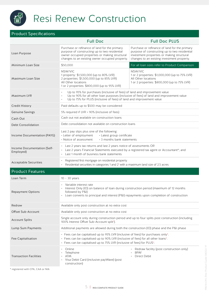

## Resi Renew Construction

## Product Specifications

|                                          | <b>Full Doc</b>                                                                                                                                                                                                                                                                        | <b>Full Doc PLUS</b>                                                                                                                                                                        |  |  |  |  |
|------------------------------------------|----------------------------------------------------------------------------------------------------------------------------------------------------------------------------------------------------------------------------------------------------------------------------------------|---------------------------------------------------------------------------------------------------------------------------------------------------------------------------------------------|--|--|--|--|
| Loan Purpose                             | Purchase or refinance of land for the primary<br>purpose of constructing up to two residential<br>owner occupied properties or making structural<br>changes to an existing owner occupied property.                                                                                    | Purchase or refinance of land for the primary<br>purpose of constructing up to two residential<br>investment properties or making structural<br>changes to an existing investment property. |  |  |  |  |
| Minimum Loan Size                        | \$50,000                                                                                                                                                                                                                                                                               | For all loan sizes refer to Product Comparison                                                                                                                                              |  |  |  |  |
| Maximum Loan Size                        | NSW/VIC<br>1 property: \$1,500,000 (up to 80% LVR)<br>2 properties: \$1,500,000 (up to 85% LVR)<br>All Other locations<br>1 or 2 properties: \$800,000 (up to 95% LVR)                                                                                                                 | NSW/VIC<br>1 or 2 properties: \$1,000,000 (up to 75% LVR)<br>All Other locations<br>1 or 2 properties: \$800,000 (up to 75% LVR)                                                            |  |  |  |  |
| Maximum LVR                              | Up to 95% for purchases (inclusive of fees) of land and improvement value<br>Up to 90% for all other loan purposes (inclusive of fees) of land and improvement value<br>$\bullet$<br>Up to 75% for PLUS (inclusive of fees) of land and improvement value                              |                                                                                                                                                                                             |  |  |  |  |
| <b>Credit History</b>                    | Paid defaults up to \$500 may be considered                                                                                                                                                                                                                                            |                                                                                                                                                                                             |  |  |  |  |
| <b>Genuine Savings</b>                   | 5% required if LVR > 90% (inclusive of fees)                                                                                                                                                                                                                                           |                                                                                                                                                                                             |  |  |  |  |
| Cash Out                                 | Cash out not available on construction loans                                                                                                                                                                                                                                           |                                                                                                                                                                                             |  |  |  |  |
| <b>Debt Consolidation</b>                | Debt consolidation not available on construction loans                                                                                                                                                                                                                                 |                                                                                                                                                                                             |  |  |  |  |
| Income Documentation (PAYG)              | Last 2 pay slips plus one of the following:<br>• Letter of employment<br>· Latest group certificate<br>• Notice of assessment<br>• 3 months bank statements                                                                                                                            |                                                                                                                                                                                             |  |  |  |  |
| Income Documentation (Self-<br>Employed) | • Last 2 years tax returns and last 2 years notice of assessments OR<br>• Last 2 years Financial Statements executed by a registered tax agent or Accountant*; and<br>Last 1 month of business bank statements                                                                         |                                                                                                                                                                                             |  |  |  |  |
| <b>Acceptable Securities</b>             | Registered first mortgage on residential property<br>Residential securities in categories 1 and $21$ with a maximum land size of 2.5 acres                                                                                                                                             |                                                                                                                                                                                             |  |  |  |  |
| <b>Product Features</b>                  |                                                                                                                                                                                                                                                                                        |                                                                                                                                                                                             |  |  |  |  |
| Loan Term                                | $10 - 30$ years                                                                                                                                                                                                                                                                        |                                                                                                                                                                                             |  |  |  |  |
| <b>Repayment Options</b>                 | Variable interest rate<br>Interest Only (IO) on balance of loan during construction period (maximum of 12 months<br>followed by P&I)<br>Loan converts to principal and interest (P&I) repayments upon completion of construction                                                       |                                                                                                                                                                                             |  |  |  |  |
| Redraw                                   | Available only post construction at no extra cost                                                                                                                                                                                                                                      |                                                                                                                                                                                             |  |  |  |  |
| Offset Sub-Account                       | Available only post construction at no extra cost                                                                                                                                                                                                                                      |                                                                                                                                                                                             |  |  |  |  |
| <b>Account Splits</b>                    | Single account only during construction period and up to four splits post construction (including<br>100% Interest Offset Sub-Account split <sup>3</sup> ).                                                                                                                            |                                                                                                                                                                                             |  |  |  |  |
| Lump Sum Payments                        | Additional payments are allowed during both the construction (IO) phase and the P&I phase                                                                                                                                                                                              |                                                                                                                                                                                             |  |  |  |  |
| Fee Capitalisation                       | • Fees can be capitalised up to 95% LVR (inclusive of fees) for purchases only <sup>4</sup> .<br>• Fees can be capitalised up to 90% LVR (inclusive of fees) for all other loans <sup>4</sup> .<br>• Fees can be capitalised up to 75% LVR (inclusive of fees) for PLUS <sup>4</sup> . |                                                                                                                                                                                             |  |  |  |  |
| <b>Transaction Facilities</b>            | Online<br>• Redraw facility (post construction only)<br>$\bullet$<br><b>BPAY</b><br>Telephone<br>ATM<br><b>Direct Debit</b><br>Visa Debit Card (inclusive payWave) (post<br>construction)                                                                                              |                                                                                                                                                                                             |  |  |  |  |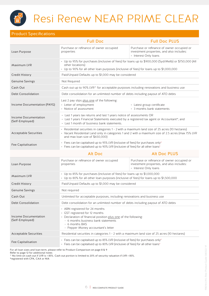

## Resi Renew NEAR PRIME CLEAR

## Product Specifications

|                                         | <b>Full Doc</b>                                                                                                                                                                                                                          | <b>Full Doc PLUS</b>                                                                                             |  |  |  |  |  |
|-----------------------------------------|------------------------------------------------------------------------------------------------------------------------------------------------------------------------------------------------------------------------------------------|------------------------------------------------------------------------------------------------------------------|--|--|--|--|--|
| Loan Purpose                            | Purchase or refinance of owner occupied<br>properties                                                                                                                                                                                    | Purchase or refinance of owner occupied or<br>investment properties, and also includes:<br>• Interest Only Ioans |  |  |  |  |  |
| Maximum LVR                             | • Up to 95% for purchases (inclusive of fees) for loans up to \$900,000 (Syd/Melb) or \$750,000 (All<br>other locations)<br>• Up to 90% for all other loan purposes (inclusive of fees) for loans up to \$1,000,000                      |                                                                                                                  |  |  |  |  |  |
| Credit History                          | Paid/Unpaid Defaults up to \$1,000 may be considered                                                                                                                                                                                     |                                                                                                                  |  |  |  |  |  |
| <b>Genuine Savings</b>                  | Not Required                                                                                                                                                                                                                             |                                                                                                                  |  |  |  |  |  |
| Cash Out                                | Cash out up to 90% LVR^ for acceptable purposes including renovations and business use                                                                                                                                                   |                                                                                                                  |  |  |  |  |  |
| <b>Debt Consolidation</b>               | Debt consolidation for an unlimited number of debts including payout of ATO debts                                                                                                                                                        |                                                                                                                  |  |  |  |  |  |
| Income Documentation (PAYG)             | Last 2 pay slips plus one of the following:<br>• Letter of employment<br>• Notice of assessment                                                                                                                                          | · Latest group certificate<br>• 3 months bank statements                                                         |  |  |  |  |  |
| Income Documentation<br>(Self-Employed) | • Last 1 years tax returns and last 1 years notice of assessments OR<br>• Last 1 years Financial Statements executed by a registered tax agent or Accountant*; and<br>• Last 1 month of business bank statements.                        |                                                                                                                  |  |  |  |  |  |
| <b>Acceptable Securities</b>            | · Residential securities in categories 1 - 2 with a maximum land size of 25 acres (10 hectares)<br>• Vacant Residential Land only in categories 1 and 2 with a maximum size of 2.5 acres (max 75% LVR<br>and max loan size of \$650,000) |                                                                                                                  |  |  |  |  |  |
| <b>Fee Capitalisation</b>               | • Fees can be capitalised up to 95% LVR (inclusive of fees) for purchases only <sup>4</sup><br>• Fees can be capitalised up to 90% LVR (inclusive of fees) for all other loans <sup>4</sup>                                              |                                                                                                                  |  |  |  |  |  |
|                                         | <b>Alt Doc</b>                                                                                                                                                                                                                           | <b>Alt Doc PLUS</b>                                                                                              |  |  |  |  |  |
| Loan Purpose                            | Purchase or refinance of owner occupied<br>properties                                                                                                                                                                                    | Purchase or refinance of owner occupied or<br>investment properties, and also includes:<br>• Interest Only Ioans |  |  |  |  |  |
| Maximum LVR                             | • Up to 85% for purchases (inclusive of fees) for loans up to \$1,000,000<br>• Up to 80% for all other loan purposes (inclusive of fees) for loans up to \$1,500,000                                                                     |                                                                                                                  |  |  |  |  |  |
| Credit History                          | Paid/Unpaid Defaults up to \$1,000 may be considered                                                                                                                                                                                     |                                                                                                                  |  |  |  |  |  |
| <b>Genuine Savings</b>                  | Not required                                                                                                                                                                                                                             |                                                                                                                  |  |  |  |  |  |
| Cash Out                                | Unlimited for acceptable purposes, including renovations and business use                                                                                                                                                                |                                                                                                                  |  |  |  |  |  |
| <b>Debt Consolidation</b>               | Debt consolidation for an unlimited number of debts including payout of ATO debts                                                                                                                                                        |                                                                                                                  |  |  |  |  |  |
| Income Documentation<br>(Self-Employed) | • ABN registered for 24 months<br>• GST registered for 12 months<br>• Declaration of financial position plus one of the following:<br>- 6 months business bank statements<br>- 6 months BAS<br>- Pepper Money accountant's letter        |                                                                                                                  |  |  |  |  |  |
| <b>Acceptable Securities</b>            | Residential securities in categories 1 - 2 with a maximum land size of 25 acres (10 hectares)                                                                                                                                            |                                                                                                                  |  |  |  |  |  |
| Fee Capitalisation                      | • Fees can be capitalised up to 85% LVR (inclusive of fees) for purchases only <sup>4</sup><br>• Fees can be capitalised up to 80% LVR (inclusive of fees) for all other loans <sup>4</sup>                                              |                                                                                                                  |  |  |  |  |  |

For all loan sizes and loan term, please refer to Product Comparison on page 8 & 9

Refer to page 12 for additional notes

^ No limit on cash out if LVR is < 85%. Cash out portion is limited to 20% of security valuation if LVR > 85%.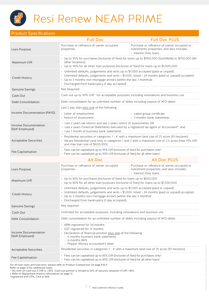

## Resi Renew NEAR PRIME

### Product Specifications

|                                         | <b>Full Doc</b>                                                                                                                                                                                                                                                                                                            | <b>Full Doc PLUS</b>                                                                                             |  |  |  |  |  |
|-----------------------------------------|----------------------------------------------------------------------------------------------------------------------------------------------------------------------------------------------------------------------------------------------------------------------------------------------------------------------------|------------------------------------------------------------------------------------------------------------------|--|--|--|--|--|
| Loan Purpose                            | Purchase or refinance of owner occupied<br>properties                                                                                                                                                                                                                                                                      | Purchase or refinance of owner occupied or<br>investments properties, and also includes<br>• Interest Only Ioans |  |  |  |  |  |
| Maximum LVR                             | · Up to 95% for purchases (inclusive of fees) for loans up to \$900,000 (Syd/Melb) or \$750,000 (All<br>other locations)<br>• Up to 90% for all other loan purposes (inclusive of fees) for loans up to \$1,000,000                                                                                                        |                                                                                                                  |  |  |  |  |  |
| Credit History                          | • Unlimited defaults, judgements and writs up to \$1,000 accepted (paid or unpaid)<br>• Unlimited defaults, judgements and writs > \$1,000, listed > 24 months (paid or unpaid) accepted<br>• Up to 3 months non-mortgage arrears (within the last 3 months)#<br>· Discharged from bankruptcy (1 day accepted)             |                                                                                                                  |  |  |  |  |  |
| <b>Genuine Savings</b>                  | Not Required                                                                                                                                                                                                                                                                                                               |                                                                                                                  |  |  |  |  |  |
| Cash Out                                | Cash out up to 90% LVR^ for acceptable purposes including renovations and business use                                                                                                                                                                                                                                     |                                                                                                                  |  |  |  |  |  |
| <b>Debt Consolidation</b>               | Debt consolidation for an unlimited number of debts including payout of ATO debts                                                                                                                                                                                                                                          |                                                                                                                  |  |  |  |  |  |
|                                         | Last 2 pay slips plus one of the following:                                                                                                                                                                                                                                                                                |                                                                                                                  |  |  |  |  |  |
| Income Documentation (PAYG)             | • Letter of employment<br>• Notice of assessment                                                                                                                                                                                                                                                                           | • Latest group certificate<br>• 3 months bank statements                                                         |  |  |  |  |  |
| Income Documentation<br>(Self-Employed) | • Last 2 years tax returns and last 2 years notice of assessments OR<br>• Last 2 years Financial Statements executed by a registered tax agent or Accountant*; and<br>• Last 1 month of business bank statements                                                                                                           |                                                                                                                  |  |  |  |  |  |
| <b>Acceptable Securities</b>            | • Residential securities in categories $1 - 41$ with a maximum land size of 25 acres (10 hectares)<br>• Vacant Residential Land only in categories 1 and 2 with a maximum size of 2.5 acres (max 75% LVR<br>and max loan size of \$650,000)                                                                                |                                                                                                                  |  |  |  |  |  |
| <b>Fee Capitalisation</b>               | • Fees can be capitalised up to 95% LVR (inclusive of fees) for purchases only <sup>4</sup><br>• Fees can be capitalised up to 90% LVR (inclusive of fees) for all other loans <sup>4</sup>                                                                                                                                |                                                                                                                  |  |  |  |  |  |
|                                         | <b>Alt Doc</b>                                                                                                                                                                                                                                                                                                             | <b>Alt Doc PLUS</b>                                                                                              |  |  |  |  |  |
| Loan Purpose                            | Purchase or refinance of owner occupied<br>properties                                                                                                                                                                                                                                                                      | Purchase or refinance of owner occupied or<br>investment properties, and also includes:<br>• Interest Only Ioans |  |  |  |  |  |
| Maximum LVR                             | • Up to 85% for purchases (inclusive of fees) for loans up to \$650,000<br>• Up to 80% for all other loan purposes (inclusive of fees) for loans up to \$1,500,000                                                                                                                                                         |                                                                                                                  |  |  |  |  |  |
| Credit History                          | • Unlimited defaults, judgements and writs up to \$1,000 accepted (paid or unpaid)<br>• Unlimited defaults, judgements and writs > \$1,000, listed > 24 months (paid or unpaid) accepted<br>• Up to 3 months non-mortgage arrears (within the last 3 months) <sup>#</sup><br>• Discharged from bankruptcy (1 day accepted) |                                                                                                                  |  |  |  |  |  |
| <b>Genuine Savings</b>                  | Not required                                                                                                                                                                                                                                                                                                               |                                                                                                                  |  |  |  |  |  |
| Cash Out                                | Unlimited for acceptable purposes, including renovations and business use                                                                                                                                                                                                                                                  |                                                                                                                  |  |  |  |  |  |
| <b>Debt Consolidation</b>               | Debt consolidation for an unlimited number of debts including payout of ATO debts                                                                                                                                                                                                                                          |                                                                                                                  |  |  |  |  |  |
| Income Documentation<br>(Self-Employed) | • ABN registered for 24 months<br>• GST registered for 12 months<br>• Declaration of financial position plus one of the following:<br>- 6 months business bank statements<br>- 6 months BAS<br>- Pepper Money accountant's letter                                                                                          |                                                                                                                  |  |  |  |  |  |
| <b>Acceptable Securities</b>            | Residential securities in categories 1 - 4 <sup>1</sup> with a maximum land size of 25 acres (10 hectares)                                                                                                                                                                                                                 |                                                                                                                  |  |  |  |  |  |
| Fee Capitalisation                      | • Fees can be capitalised up to 85% LVR (inclusive of fees) for purchases only <sup>4</sup><br>• Fees can be capitalised up to 80% LVR (inclusive of fees) for all other loans <sup>4</sup>                                                                                                                                |                                                                                                                  |  |  |  |  |  |
|                                         |                                                                                                                                                                                                                                                                                                                            |                                                                                                                  |  |  |  |  |  |

For all loan sizes and loan term, please refer to Product Comparison on page 8 & 9 Refer to page 12 for additional notes

^ No limit on cash out if LVR is < 85%. Cash out portion is limited to 20% of security valuation if LVR > 85%.

# Refer to Repayment History Information on page 12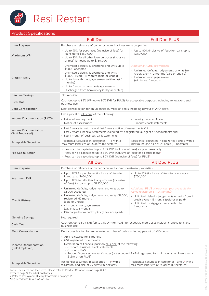

## Product Specifications

|                                                | <b>Full Doc</b><br><b>Full Doc PLUS</b>                                                                                                                                                                                                                                                                                         |                                                                                                                                                                                                                                              |  |  |  |  |  |
|------------------------------------------------|---------------------------------------------------------------------------------------------------------------------------------------------------------------------------------------------------------------------------------------------------------------------------------------------------------------------------------|----------------------------------------------------------------------------------------------------------------------------------------------------------------------------------------------------------------------------------------------|--|--|--|--|--|
| Loan Purpose                                   | Purchase or refinance of owner occupied or investment properties                                                                                                                                                                                                                                                                |                                                                                                                                                                                                                                              |  |  |  |  |  |
| Maximum LVR                                    | • Up to 95% for purchases (inclusive of fees) for<br>loans up to \$650,000<br>• Up to 85% for all other loan purposes (inclusive<br>of fees) for loans up to \$750,000                                                                                                                                                          | • Up to 80% (inclusive of fees) for loans up to<br>\$750,000                                                                                                                                                                                 |  |  |  |  |  |
| <b>Credit History</b>                          | • Unlimited defaults, judgements and writs up to<br>\$1,000 accepted<br>• Unlimited defaults, judgements and writs ><br>$$1,000$ , listed > 12 months (paid or unpaid)<br>• Up to 1 month mortgage arrears (within last 6<br>months)<br>• Up to 6 months non-mortgage arrears#<br>· Discharged from bankruptcy (1 day accepted) | Additional <b>PLUS</b> allowances:<br>• Unlimited defaults, judgements or writs from 1<br>credit event < 12 months (paid or unpaid)<br>• Unlimited mortgage arrears<br>(within last 6 months)                                                |  |  |  |  |  |
| <b>Genuine Savings</b>                         | Not required                                                                                                                                                                                                                                                                                                                    |                                                                                                                                                                                                                                              |  |  |  |  |  |
| Cash Out                                       | Cash out up to 85% LVR (up to 80% LVR for PLUS) for acceptable purposes including renovations and<br>business use                                                                                                                                                                                                               |                                                                                                                                                                                                                                              |  |  |  |  |  |
| <b>Debt Consolidation</b>                      | Debt consolidation for an unlimited number of debts including payout of ATO debts                                                                                                                                                                                                                                               |                                                                                                                                                                                                                                              |  |  |  |  |  |
| Income Documentation (PAYG)                    | Last 2 pay slips plus one of the following:<br>• Letter of employment<br>• Notice of assessment                                                                                                                                                                                                                                 | • Latest group certificate<br>• 3 months bank statements                                                                                                                                                                                     |  |  |  |  |  |
| <b>Income Documentation</b><br>(Self-Employed) | • Last 2 years tax returns and last 2 years notice of assessments OR<br>• Last 2 years Financial Statements executed by a registered tax agent or Accountant*; and<br>• Last 1 month of business bank statements.                                                                                                               |                                                                                                                                                                                                                                              |  |  |  |  |  |
| <b>Acceptable Securities</b>                   | Residential securities in categories 1 - 4 <sup>1</sup> with a<br>maximum land size of 25 acres (10 hectares)                                                                                                                                                                                                                   | Residential securities in categories 1 and 2 <sup>1</sup> with a<br>maximum land size of 25 acres (10 hectares)                                                                                                                              |  |  |  |  |  |
| <b>Fee Capitalisation</b>                      | • Fees can be capitalised up to 95% LVR (inclusive of fees) for purchases only <sup>4</sup><br>• Fees can be capitalised up to 85% LVR (inclusive of fees) for all other loans <sup>4</sup><br>• Fees can be capitalised up to 80% LVR (inclusive of fees) for PLUS <sup>4</sup>                                                |                                                                                                                                                                                                                                              |  |  |  |  |  |
|                                                | <b>Alt Doc</b>                                                                                                                                                                                                                                                                                                                  | <b>Alt Doc PLUS</b>                                                                                                                                                                                                                          |  |  |  |  |  |
| Loan Purpose                                   | Purchase or refinance of owner occupied and/or investment properties                                                                                                                                                                                                                                                            |                                                                                                                                                                                                                                              |  |  |  |  |  |
| Maximum LVR                                    | • Up to 85% for purchases (inclusive of fees) for<br>loans up to \$650,000<br>• Up to 80% for all other loan purposes (inclusive<br>of fees) for loans up to \$1,250,000                                                                                                                                                        | • Up to 75% (inclusive of fees) for loans up to<br>\$750,000                                                                                                                                                                                 |  |  |  |  |  |
| <b>Credit History</b>                          | Unlimited defaults, judgements and writs up to<br>\$1,000 accepted<br>• Unlimited defaults, judgements and writs >\$1,000,<br>registered >12 months<br>(paid or unpaid)<br>· < 1 months mortgage arrears<br>(within last 6 months)<br>• Discharged from bankruptcy (1 day accepted)                                             | Additional PLUS allowances: (not available for<br>ABNs registered 6 - 12 months):<br>• Unlimited defaults, judgements or writs from 1<br>credit event < 12 months (paid or unpaid)<br>• Unlimited mortgage arrears (within last<br>6 months) |  |  |  |  |  |
| <b>Genuine Savings</b>                         | Not required                                                                                                                                                                                                                                                                                                                    |                                                                                                                                                                                                                                              |  |  |  |  |  |
| Cash Out                                       | Cash out up to 80% LVR (up to 75% LVR for PLUS) for acceptable purposes including renovations and<br>business use                                                                                                                                                                                                               |                                                                                                                                                                                                                                              |  |  |  |  |  |
| <b>Debt Consolidation</b>                      | Debt consolidation for an unlimited number of debts including payout of ATO debts                                                                                                                                                                                                                                               |                                                                                                                                                                                                                                              |  |  |  |  |  |
| Income Documentation<br>(Self-Employed)        | • ABN registered for 6 months<br>• GST registered for 6 months<br>• Declaration of financial position plus one of the following:<br>- 6 months business bank statements<br>- 6 months BAS<br>- Pepper Money accountant's letter (not accepted if ABN registered for < 12 months, on loan sizes ><br>\$1.5m or on PLUS)          |                                                                                                                                                                                                                                              |  |  |  |  |  |
| <b>Acceptable Securities</b>                   | Residential securities in categories 1 - 4 <sup>1</sup> with a<br>maximum land size of 25 acres (10 hectares)                                                                                                                                                                                                                   | Residential securities in categories 1 and 2 <sup>1</sup> with a<br>maximum land size of 25 acres (10 hectares)                                                                                                                              |  |  |  |  |  |

For all loan sizes and loan term, please refer to Product Comparison on page 8 & 9

Refer to page 12 for additional notes

# Refer to Repayment History Information on page 12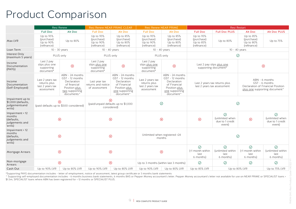## Product Comparison

|                                                                     | <b>Resi Renew</b>                                                                |                                                                                                                                | <b>Resi Renew NEAR PRIME CLEAR</b>                              |                                                                                                                               | <b>Resi Renew NEAR PRIME</b>                                       |                                                                                                                               | <b>Resi Restart</b>                                            |                                                              |                                                     |                                                                                      |
|---------------------------------------------------------------------|----------------------------------------------------------------------------------|--------------------------------------------------------------------------------------------------------------------------------|-----------------------------------------------------------------|-------------------------------------------------------------------------------------------------------------------------------|--------------------------------------------------------------------|-------------------------------------------------------------------------------------------------------------------------------|----------------------------------------------------------------|--------------------------------------------------------------|-----------------------------------------------------|--------------------------------------------------------------------------------------|
|                                                                     | <b>Full Doc</b>                                                                  | Alt Doc                                                                                                                        | <b>Full Doc</b>                                                 | <b>Alt Doc</b>                                                                                                                | <b>Full Doc</b>                                                    | <b>Alt Doc</b>                                                                                                                | <b>Full Doc</b>                                                | <b>Full Doc PLUS</b>                                         | Alt Doc                                             | <b>Alt Doc PLUS</b>                                                                  |
| Max LVR                                                             | Up to 95%<br>(purchase)<br>Up to 90%<br>(refinance)                              | Up to 80%                                                                                                                      | Up to 95%<br>(purchase)<br>Up to 90%<br>(refinance)             | Up to 85%<br>(purchase)<br>Up to 80%<br>(refinance)                                                                           | Up to 95%<br>(purchase)<br>Up to 90%<br>(refinance)                | Up to 85%<br>(purchase)<br>Up to 80%<br>(refinance)                                                                           | Up to 95%<br>(purchase)<br>Up to 85%<br>(refinance)            | Up to 80%                                                    | Up to 85%<br>(purchase)<br>Up to 80%<br>(refinance) | Up to 75%                                                                            |
| Loan Term                                                           |                                                                                  | $10 - 30$ years                                                                                                                | $10 - 40$ years                                                 |                                                                                                                               |                                                                    | $10 - 40$ years                                                                                                               |                                                                |                                                              | 10 - 40 years                                       |                                                                                      |
| Interest Only<br>(maximum 5 years)                                  |                                                                                  | PLUS only                                                                                                                      | PLUS only                                                       |                                                                                                                               | PLUS only                                                          |                                                                                                                               | $\oslash$                                                      |                                                              |                                                     |                                                                                      |
| Income<br>Documentation<br>(PAYG)                                   | Last 2 pay<br>slips plus one<br>supporting<br>document*                          | $\otimes$                                                                                                                      | Last 2 pay<br>slips plus one<br>supporting<br>document*         | $\circledR$                                                                                                                   | Last 2 pay<br>slips plus one<br>supporting<br>document*            | $\circledcirc$                                                                                                                | Last 2 pay slips plus one<br>$\otimes$<br>supporting document* |                                                              |                                                     |                                                                                      |
| Income<br>Documentation<br>(Self-Employed)                          | Last 2 years tax<br>returns plus<br>last 2 years tax<br>assessment               | ABN - 24 months<br>GST - 12 months<br>Declaration<br>of financial<br>Position plus<br>two supporting<br>documents <sup>^</sup> | Last year tax<br>returns and notice<br>of assessment            | ABN - 24 months<br>GST - 12 months<br>Declaration<br>of Financial<br>Position plus<br>one supporting<br>document <sup>^</sup> | Last 2 years tax<br>returns plus<br>last 2 years tax<br>assessment | ABN - 24 months<br>GST - 12 months<br>Declaration<br>of Financial<br>Position plus<br>one supporting<br>document <sup>^</sup> |                                                                | Last 2 years tax returns plus<br>last 2 years tax assessment | GST - 6 months                                      | ABN - 6 months<br>Declaration of Financial Position<br>plus one supporting document^ |
| Impairment up to<br>\$1,000 (defaults.<br>judgementsand<br>writs)   | (paid defaults up to \$500 considered)                                           | $\otimes$                                                                                                                      | $\otimes$<br>(paid/unpaid defaults up to \$1,000<br>considered) |                                                                                                                               |                                                                    | $\odot$                                                                                                                       | $\odot$                                                        |                                                              |                                                     |                                                                                      |
| Impairment < 12<br>months<br>(defaults,<br>judgements and<br>writs) |                                                                                  | $\circledcirc$                                                                                                                 | $\circledR$                                                     |                                                                                                                               |                                                                    | $\circledR$                                                                                                                   | $\circledR$                                                    | $\odot$<br>(unlimited when<br>due to 1 credit<br>event)      | $\circledR$                                         | $\odot$<br>(unlimited when<br>due to 1 credit<br>event)                              |
| Impairment > 12<br>months<br>(defaults,<br>judgements and<br>writs) | Unlimited when registered >24<br>$\circledR$<br>$\odot$<br>$\circledR$<br>months |                                                                                                                                |                                                                 |                                                                                                                               |                                                                    |                                                                                                                               |                                                                |                                                              |                                                     |                                                                                      |
| Mortgage Arrears                                                    |                                                                                  | $\circledR$                                                                                                                    |                                                                 | $\circledR$                                                                                                                   |                                                                    | $\circledcirc$                                                                                                                | $\odot$<br>(<1 month within<br>last<br>6 months)               | $\odot$<br>(unlimited within<br>last<br>6 months)            | $\oslash$<br>(<1 month within<br>last<br>6 months)  | $\odot$<br>(unlimited within<br>last<br>6 months)                                    |
| Non-mortgage<br>Arrears                                             |                                                                                  | $\circledR$                                                                                                                    | $\circledR$                                                     |                                                                                                                               |                                                                    | Up to 3 months (within last 3 months)                                                                                         | $\odot$                                                        | $\odot$                                                      | $\odot$                                             | $\odot$                                                                              |
| Cash Out                                                            | Up to 90% LVR                                                                    | Up to 80% LVR                                                                                                                  | Up to 90% LVR                                                   | Up to 80% LVR                                                                                                                 | Up to 90% LVR                                                      | Up to 80% LVR                                                                                                                 | Up to 85% LVR                                                  |                                                              | Up to 80% LVR                                       | Up to 75% LVR                                                                        |

\*Supporting PAYG documentation includes - letter of employment, notice of assessment, latest group certificate or 3 months bank statements

^ Supporting self-employed documentation includes - 6 months business bank statements, 6 months BAS or Pepper Money accountant's letter. Pepper Money accountant's letter not available for use on NEAR PRIME or SPECIALIST lo \$1.5m, SPECIALIST loans where ABN has been registered for < 12 months or SPECIALIST PLUS.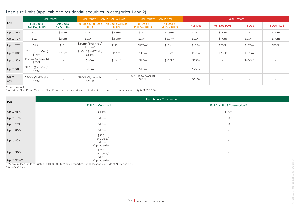## Loan size limits (applicable to residential securities in categories 1 and 2)

|                 | <b>Resi Renew</b>                  |                           | <b>Resi Renew NEAR PRIME CLEAR</b>                     |                 | <b>Resi Renew NEAR PRIME</b>                  |                           | <b>Resi Restart</b> |                          |                          |                          |
|-----------------|------------------------------------|---------------------------|--------------------------------------------------------|-----------------|-----------------------------------------------|---------------------------|---------------------|--------------------------|--------------------------|--------------------------|
| <b>LVR</b>      | Full Doc &<br><b>Full Doc PLUS</b> | Alt Doc &<br>Alt Doc Plus | Full Doc & Full Doc   Alt Doc & Alt Doc<br><b>PLUS</b> | <b>PLUS</b>     | <b>Full Doc &amp;</b><br><b>Full Doc PLUS</b> | Alt Doc &<br>Alt Doc PLUS | <b>Full Doc</b>     | <b>Full Doc PLUS</b>     | Alt Doc                  | <b>Alt Doc PLUS</b>      |
| Up to 65%       | $$2.0m*$                           | $$2.0m*$                  | $$2.5m*$                                               | $$2.5m*$        | $$2.5m*$                                      | $$2.5m*$                  | \$2.5m              | \$1.0m                   | \$2.5m                   | \$1.0m                   |
| Up to 70%       | $$2.0m*$                           | $$2.0m*$                  | $$2.0m*$                                               | $$2.0m*$        | $$2.0m*$                                      | $$2.0m*$                  | \$2.0m              | \$1.0m                   | \$2.0m                   | \$1.0m                   |
| Up to 75%       | \$1.5m                             | \$1.5m                    | $$2.0m*$ (Syd/Melb)<br>$$1.75m*$                       | $$1.75m*$       | $$1.75m*$                                     | $$1.75m*$                 | \$1.75m             | \$750k                   | \$1.75m                  | \$750k                   |
| Up to 80%       | \$1.5m (Syd/Melb)<br>\$1.0m        | \$1.0m                    | \$1.75m* (Syd/Melb)<br>\$1.5m                          | \$1.5m          | \$1.5m                                        | \$1.5m                    | \$1.25m             | \$750k                   | \$1.25m                  |                          |
| Up to 85%       | \$1.25m (Syd/Melb)<br>\$850k       | $\sim$                    | \$1.0m                                                 | $$1.0m^{\circ}$ | \$1.0m                                        | \$650k^                   | \$750k              | $\sim$                   | \$650k^                  |                          |
| Up to 90%       | \$1.0m (Syd/Melb)<br>\$750k        | $\sim$                    | \$1.0m                                                 | $\sim$          | \$1.0m                                        | $\sim$                    | \$750k              | $\overline{\phantom{0}}$ | $\overline{\phantom{a}}$ | $\overline{\phantom{0}}$ |
| Up to<br>$95\%$ | \$900k (Syd/Melb)<br>\$750k        | $\overline{\phantom{a}}$  | \$900k (Syd/Melb)<br>\$750k                            | $\sim$          | \$900k (Syd/Melb)<br>\$750k                   | $\sim$                    | \$650k              | $\sim$                   | $\overline{\phantom{a}}$ |                          |

^^purchase only

\*For Prime, Near Prime Clear and Near Prime, multiple securities required, as the maximum exposure per security is \$1,500,000.

| LVR         | <b>Resi Renew Construction</b>                     |                              |  |  |  |  |  |
|-------------|----------------------------------------------------|------------------------------|--|--|--|--|--|
|             | <b>Full Doc Construction**</b>                     | Full Doc PLUS Construction** |  |  |  |  |  |
| Up to 65%   | \$1.5m                                             | \$1.0m                       |  |  |  |  |  |
| Up to 70%   | \$1.5m                                             | \$1.0m                       |  |  |  |  |  |
| Up to 75%   | \$1.5m                                             | \$1.0m                       |  |  |  |  |  |
| Up to 80%   | \$1.5m                                             | $\overline{\phantom{a}}$     |  |  |  |  |  |
| Up to 85%   | \$850k<br>(1 property)<br>\$1.5m<br>(2 properties) | $\overline{\phantom{a}}$     |  |  |  |  |  |
| Up to 90%   | \$850k<br>(1 property)                             | $\overline{\phantom{0}}$     |  |  |  |  |  |
| Up to 95%^^ | \$1.2m<br>(2 properties)                           | $\sim$                       |  |  |  |  |  |

\*\*Maximum loan limits restricted to \$800,000 for 1 or 2 properties, for all locations outside of NSW and VIC.

<sup>^^</sup>purchase only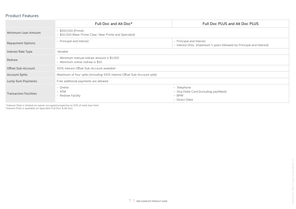## Product Features

|                               | Full Doc and Alt Doc*                                                                 | <b>Full Doc PLUS and Alt Doc PLUS</b>                                                             |  |  |  |  |
|-------------------------------|---------------------------------------------------------------------------------------|---------------------------------------------------------------------------------------------------|--|--|--|--|
| Minimum Loan Amount           | $\cdot$ \$100,000 (Prime)<br>• \$50,000 (Near Prime Clear, Near Prime and Specialist) |                                                                                                   |  |  |  |  |
| <b>Repayment Options</b>      | • Principal and Interest                                                              | • Principal and Interest<br>• Interest Only^ (maximum 5 years followed by Principal and Interest) |  |  |  |  |
| Interest Rate Type            | Variable                                                                              |                                                                                                   |  |  |  |  |
| Redraw                        | • Minimum manual redraw amount is \$1,000<br>• Minimum online redraw is \$50          |                                                                                                   |  |  |  |  |
| Offset Sub-Account            | 100% Interest Offset Sub-Account available <sup>3</sup>                               |                                                                                                   |  |  |  |  |
| <b>Account Splits</b>         | Maximum of four splits (including 100% Interest Offset Sub-Account split).            |                                                                                                   |  |  |  |  |
| Lump Sum Payments             | Free additional payments are allowed                                                  |                                                                                                   |  |  |  |  |
| <b>Transaction Facilities</b> | $\cdot$ Online<br>$\cdot$ ATM<br>• Redraw Facility                                    | $\cdot$ Telephone<br>• Visa Debit Card (including pay Wave)<br>$\cdot$ BPAY<br>• Direct Debit     |  |  |  |  |

^Interest Only is limited on owner occupied properties to 50% of total loan limit \*Interest Only is available on Specialist Full Doc & Alt Doc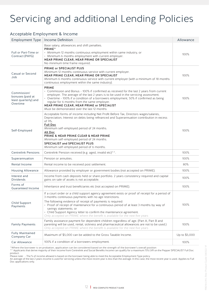## Servicing and additional Lending Policies

### Acceptable Employment & Income

| <b>Employment Type</b>                                              | Income Definition                                                                                                                                                                                                                                                                                                                                                                                                                                                                                     | Allowance     |
|---------------------------------------------------------------------|-------------------------------------------------------------------------------------------------------------------------------------------------------------------------------------------------------------------------------------------------------------------------------------------------------------------------------------------------------------------------------------------------------------------------------------------------------------------------------------------------------|---------------|
| Full or Part-Time or<br>Contract (PAYG)                             | Base salary, allowances and shift penalties.<br>PRIME <sup>^</sup><br>• Minimum 12 months continuous employment within same industry, or<br>• Minimum 6 months employment with current employer.<br>NEAR PRIME CLEAR, NEAR PRIME OR SPECIALIST<br>No minimum time frame required.                                                                                                                                                                                                                     | 100%          |
| Casual or Second<br>Job                                             | PRIME or SPECIALIST PLUS<br>Minimum 12 months continuous service with current employer.<br>NEAR PRIME CLEAR, NEAR PRIME OR SPECIALIST<br>Minimum 6 months continuous service with current employer (with a minimum of 18 months<br>continuous employment within the same industry).                                                                                                                                                                                                                   | 100%          |
| Commission/<br>bonuses (paid at<br>least quarterly) and<br>Overtime | <b>PRIME</b><br>• Commission and Bonus - 100% if confirmed as received for the last 2 years from current<br>employer. The average of the last 2 years is to be used in the servicing assessment.<br>• Overtime - 100% if a condition of a borrowers employment, 50% if confirmed as being<br>regular for 6 months from the same employer.<br>NEAR PRIME CLEAR, NEAR PRIME or SPECIALIST<br>Must be demonstrated over the last 12 months                                                               | 100%          |
| Self-Employed                                                       | Acceptable forms of income including Net Profit Before Tax, Directors wages/salaries,<br>Depreciation, Interest on debts being refinanced and Superannuation contribution in excess<br>of 9%.<br><b>Full Doc</b><br>Minimum self-employed period of 24 months.<br>Alt Doc<br>PRIME & NEAR PRIME CLEAR & NEAR PRIME<br>Minimum self-employed period of 24 months.<br>SPECIALIST and SPECIALIST PLUS<br>Minimum self-employed period of 6 months.                                                       | 100%          |
| <b>Centrelink Pensions</b>                                          | Centrelink Pension received (e.g. aged, invalid etc)^^.                                                                                                                                                                                                                                                                                                                                                                                                                                               | 100%          |
| Superannuation                                                      | Pension or annuities.                                                                                                                                                                                                                                                                                                                                                                                                                                                                                 | 100%          |
| Rental Income                                                       | Rental income to be received post settlement.                                                                                                                                                                                                                                                                                                                                                                                                                                                         | 80%           |
| <b>Housing Allowance</b>                                            | Allowance provided by employer or government bodies (not accepted on PRIME).                                                                                                                                                                                                                                                                                                                                                                                                                          | 100%          |
| Interest and<br><b>Dividends</b>                                    | Income from cash deposits held or share portfolio. 2 years consistency required and capital<br>gains on sale of assets is not acceptable.                                                                                                                                                                                                                                                                                                                                                             | 100%          |
| Forms of<br>Guaranteed Income                                       | Inheritance and trust beneficiaries etc (not accepted on PRIME).                                                                                                                                                                                                                                                                                                                                                                                                                                      | 100%          |
| Child Support<br>Payments                                           | If a court order or a child support agency agreement exists or proof of receipt for a period of<br>3 months continuous payments with no age restrictions.<br>The following evidence of receipt of payments is required:<br>• Proof of receipt of maintenance for a continuous period of at least 3 months by way of<br>savings statements; or<br>• Child Support Agency letter to confirm the maintenance agreement.<br>Only accepted on PRIME where the benefit is available for the next five years | 100%          |
| <b>Family Payments</b>                                              | Family assistance payment for dependent children regardless of age. (Part A, Part B and<br>parenting will be used, rental, sickness and pharmaceutical allowances are not to be used.)<br>Only accepted on PRIME where the benefit is available for the next five years                                                                                                                                                                                                                               | 100%          |
| <b>Fully Maintained</b><br>Company Car                              | Maximum of \$5,000 can be added to the Gross Taxable Income.                                                                                                                                                                                                                                                                                                                                                                                                                                          | Up to \$5,000 |
| Car Allowance                                                       | 100% if a condition of a borrowers employment.                                                                                                                                                                                                                                                                                                                                                                                                                                                        | 100%          |

^Where the borrower is on probation, application can be considered based on the strength of the borrower's overall position ^^ Applicants that derive majority of their income from Centrelink and Social Benefits Income can qualify for a maximum 75% LVR on the Pepper SPECIALIST Full Doc product.

Please note: - The % of income allowed is based on the borrower being able to meet the Acceptable Employment Type policy.

An average of the last 2 years income is used for servicing unless the most recent year is less than the average. In this case, the most recent year is used. Applies to Full Doc applications only.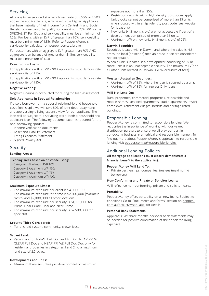## Servicing

All loans to be serviced at a benchmark rate of 5.50% or 2.50% above the applicable rate, whichever is the higher. Applicants that have majority of their income from Centrelink and Social Benefit Income can only qualify for a maximum 75% LVR on the SPECIALIST Full Doc and serviceability must be a minimum of 1.25x. For loans with an LVR of greater than 90%, serviceability must be a minimum of 1.35x. Refer to Pepper Money's serviceability calculator on pepper.com.au/broker

For customers with an aggregate LVR greater than 70% AND aggregate loan balance of greater than \$1.5m, serviceability must be a minimum of 1.25x

#### Construction Loans:

For applications with a LVR ≤ 90% applicants must demonstrate serviceability of 1.10x.

For applications with a LVR > 90% applicants must demonstrate serviceability of 1.35x.

#### Negative Gearing:

Negative Gearing is accounted for during the loan assessment.

#### Sole Applicants in Spousal Relationships:

If a sole borrower is in a spousal relationship and household cash flow is split, we will take 50% of joint debt repayments and apply a single living expense view for our applicant. The loan will be subject to a servicing test at both a household and applicant level. The following documentation is required for the non-borrowing spouse:

- Income verification documents
- Asset and Liability Statement
- Living Expenses Statement
- Signed Privacy Act

#### **Security**

#### Lending Areas:

#### Lending areas based on postcode listing:

- Category 1 Maximum LVR 95%
- Category 2 Maximum LVR 95%
- Category 3 Maximum LVR 75%
- Category 4 Maximum LVR 70%

#### Maximum Exposure Limits:

- The maximum exposure per client is \$4,000,000
- The maximum exposure for prime is \$2,500,000 (syd/melb metro) and \$2,000,000 all other locations
- The maximum exposure per security is \$1,500,000 for Prime, Near Prime Clear and Near Prime
- The maximum exposure per security is \$2,500,000 for specialist

#### Security Titles Considered:

• Torrens, old system, community, crown lease.

#### Vacant Land:

• Vacant land on PRIME Full Doc and Alt Doc, NEAR PRIME CLEAR Full Doc and NEAR PRIME Full Doc Doc only for residential properties in categories 1 and 2, to a maximum land size of 2.5 acres.

#### Developments and Units:

• Maximum three securities per development or maximum

exposure not more than 25%.

- Restriction on units within high density post codes apply. Unit blocks cannot be comprised of more than 35 units when located within a high-density post code (see website for locations).
- New units (< 12 months old) are not acceptable if part of a development comprised of more than 35 units.
- Maximum LVR on new units (< 12 months old) of 75%.

#### Darwin Securities

Securities located within Darwin and where the value is >1.5 times the local (postcode) median house price are considered not acceptable.

When a unit is located in a development consisting of 35 or more units it is an unacceptable security. The maximum LVR on all other units located in Darwin is 70% (exclusive of fees).

#### Western Australian Securities:

- Maximum LVR of 85% where the loan is secured by a unit.
- Maximum LVR of 85% for Interest Only loans

#### Will Not Lend On:

Rural properties, commercial properties, relocatable and mobile homes, serviced apartments, studio apartments, resort complexes, retirement villages, bedsits and heritage listed buildings.

### Responsible Lending

Pepper Money is committed to responsible lending. We recognise the importance of working with our valued distribution partners to ensure we all play our part in conducting business in an ethical and responsible manner. To find out more about Pepper Money's approach to responsible lending visit pepper.com.au/responsible-lending

### Additional Lending Policies

All mortgage applications must clearly demonstrate a financial benefit to the applicant(s).

#### Pepper Money Will Lend To:

• Private partnerships, companies, trustees (maximum 6 borrowers).

#### Non-Conforming and Private or Solicitor Loans:

Will refinance non-conforming, private and solicitor loans.

#### Portability:

Pepper Money offers portability on all new loans. Subject to conditions Go to 'Documents and forms' section on pepper. com.au/broker/white-label for details.

#### Personal Bank Statements:

Applicants' last three months personal bank statements may be needed for positive confirmation of their declared living expenses.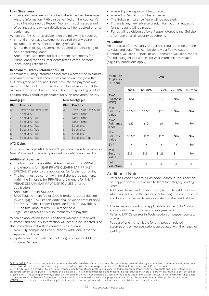#### Loan Statements:

Loan statements are not required where the loan Repayment History Information (RHI) can be verified on the Applicant's credit file obtained by Pepper Money. In such cases proof of balance and payment details may still be required prior to settlement.

Where the RHI is not available, then the following is required:

- 6 months mortgage statements required on any owner occupied or investment loan being refinanced.
- 12 months mortgage statements required on refinancing of non-conforming loans.
- Most recent statement (or last 3 months statements for Prime loans) for consumer debts (credit cards, personal loans) being refinanced.

#### Repayment History Information(RHI)

Repayment History Information indicates whether the minimum repayment on a credit account was made on time (or within a 14-day grace period) and if not, how late the payment was made. The RHI column shows the number of months that the minimum repayment was not met. The corresponding product column shows product placement for such repayment history.

| Mortgages      |                          | Non Mortgages |                          |  |
|----------------|--------------------------|---------------|--------------------------|--|
| <b>RHI</b>     | Product                  | <b>RHI</b>    | Product                  |  |
| $\Omega$       | Prime / Near Prime Clear | $\left($      | Prime / Near Prime Clear |  |
| $\mathbf{1}$   | <b>Specialist</b>        |               | Near Prime               |  |
| $\overline{2}$ | <b>Specialist Plus</b>   |               | Near Prime               |  |
| $\overline{3}$ | <b>Specialist Plus</b>   | 3             | Near Prime               |  |
| $\overline{4}$ | <b>Specialist Plus</b>   | 4             | <b>Specialist</b>        |  |
| 5              | <b>Specialist Plus</b>   | 5             | Specialist               |  |
| 6              | <b>Specialist Plus</b>   | 6             | <b>Specialist</b>        |  |
| X              | <b>Specialist Plus</b>   | Χ             | <b>Specialist Plus</b>   |  |

#### ATO Debts

Pepper will accept ATO Debts with payment plans to remain on Near Prime and Specialist, provided the debt is not overdue

#### Additional Advance

- The loan must have settled at least 3 months for PRIME and 6 months for NEAR PRIME CLEAR/NEAR PRIME/ SPECIALIST prior to the application for further borrowing.
- The loan must be current with no dishonoured payments within the 3 months for PRIME and 6 months for NEAR PRIME CLEAR/NEAR PRIME/SPECIALIST prior to application.
- Minimum amount \$10,000.
- \$395 Establishment fee or \$100 if broker orders valuation.
- 1% Mortgage Risk Fee (on Additional Advance amount only)
- For PRIME loans, Lender Protection Fee (LPF) payable is LPF on total amount less LPF already paid.
- Legal Fees of \$150 plus disbursements are payable.

When an application for an Additional Advance is received, customer and security information will need to be updated. The documentation that will be required is as follows:

- New fully completed Pepper Money Additional Advance Application Form.
- Updated income evidence, including pay slips or Alt Doc Income Declaration.
- A new Equifax report will be ordered.
- A new Full Valuation will be requested.
- The Building Insurance figure will be updated.
- If there is any new adverse credit information a request for further details will be made.
- Funds will be disbursed by a Pepper Money panel Solicitor after receipt of all security documents.

#### Valuations:

An appraisal of the security property is required to determine its value and state. This can be done via a Full Valuation, Electronic Valuation Report, or an Automated Valuation Model. The following criteria applies for Maximum security values (eligibility conditions apply).

| Valuation<br>Eligibility<br>Criteria | <b>LVR</b>   |              |              |              |        |
|--------------------------------------|--------------|--------------|--------------|--------------|--------|
|                                      | ≤65%         | 65-70%       | 70-75%       | 75-80%       | 80-95% |
| <b>AVM</b><br>Purchase<br>(FSD)      | $\leq$ 12    | ≤10          | ≤10          | N/A          | N/A    |
| Max<br>Security<br>Value             | \$1.5m       | \$1.5m       | \$1m         | N/A          | N/A    |
| <b>AVM</b><br>Refinance<br>(FSD      | $\leq 12$    | ≤10          | $\leq 8$     | N/A          | N/A    |
| Max<br>Security<br>Value             | \$1.5m       | \$1m         | \$1m         | N/A          | N/A    |
| <b>EVR</b>                           | $\checkmark$ | $\checkmark$ | $\checkmark$ | $\checkmark$ | N/A    |
| Max<br>Security<br>Value             | \$1.5m       | \$1.5m       | \$1.25m      | \$1m         | N/A    |
| Full<br>Valuation                    | √            | $\checkmark$ | ✓            |              | ✓      |

#### Additional Notes

- Refer to Pepper Money's Postcode Search in Tools section on pepper.com.au/broker/white-label for category lending limits
- Additional terms and conditions apply to Interest Only loans which are set out in the customer's loan agreement. Principal and Interest repayments are calculated on the residual loan term
- The terms and conditions applicable to Offset Sub-Accounts are set out in the customer's loan agreement
- Refer to LPF Calculator in Tools section on pepper.com.au/ broker
- Pepper Money is not liable for any taxation related assumptions or representations associated with the negative gearing.

94014-LWL-Resi-Product Guide-040322-V1 194014-LWL-Resi-Product Guide-040322-V1

DISCLAIMER: This product guide is accurate as at the effective date of this document. Pepper Money reserves the right to alter the policies at any time without notice. We will notify borrowers of changes in accordance with their loan agreement and the National Consumer Credit Protection Act. CONFIDENTIAL: This Product Guide is a reference guide for mortgage professionals accredited to distribute Pepper Money products and is not intended as an advertisement to the public. It is made available on a strictly confidential basis and must not be reproduced in whole or part, or distributed to any person or organisation without Pepper Money's prior written consent. It must not be made available to the public under any circumstances. Whilst every effort has been made to ensure this Product Guide is accurate, it should not be relied upon for any purpose or used as a substitute for independent professional advice. WARNING: You must comply with all legal requirements. Non-compliance with the law may attract civil and/or criminal penalties.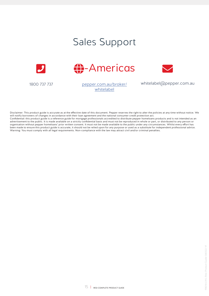## Sales Support







whitelabel@pepper.com.au

1800 737 737

pepper.com.au/broker/ whitelabel

Disclaimer: This product guide is accurate as at the effective date of this document. Pepper reserves the right to alter the policies at any time without notice. We will notify borrowers of changes in accordance with their loan agreement and the national consumer credit protection act. Confidential: this product guide is a reference guide for mortgage professionals accredited to distribute pepper homeloans products and is not intended as an advertisement to the public. It is made available on a strictly confidential basis and must not be reproduced in whole or part, or distributed to any person or organisation without pepper homeloans' prior written consent. It must not be made available to the public under any circumstances. Whilst every effort has been made to ensure this product guide is accurate, it should not be relied upon for any purpose or used as a substitute for independent professional advice. Warning: You must comply with all legal requirements. Non-compliance with the law may attract civil and/or criminal penalties.

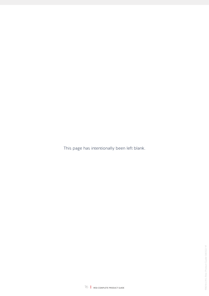This page has intentionally been left blank.